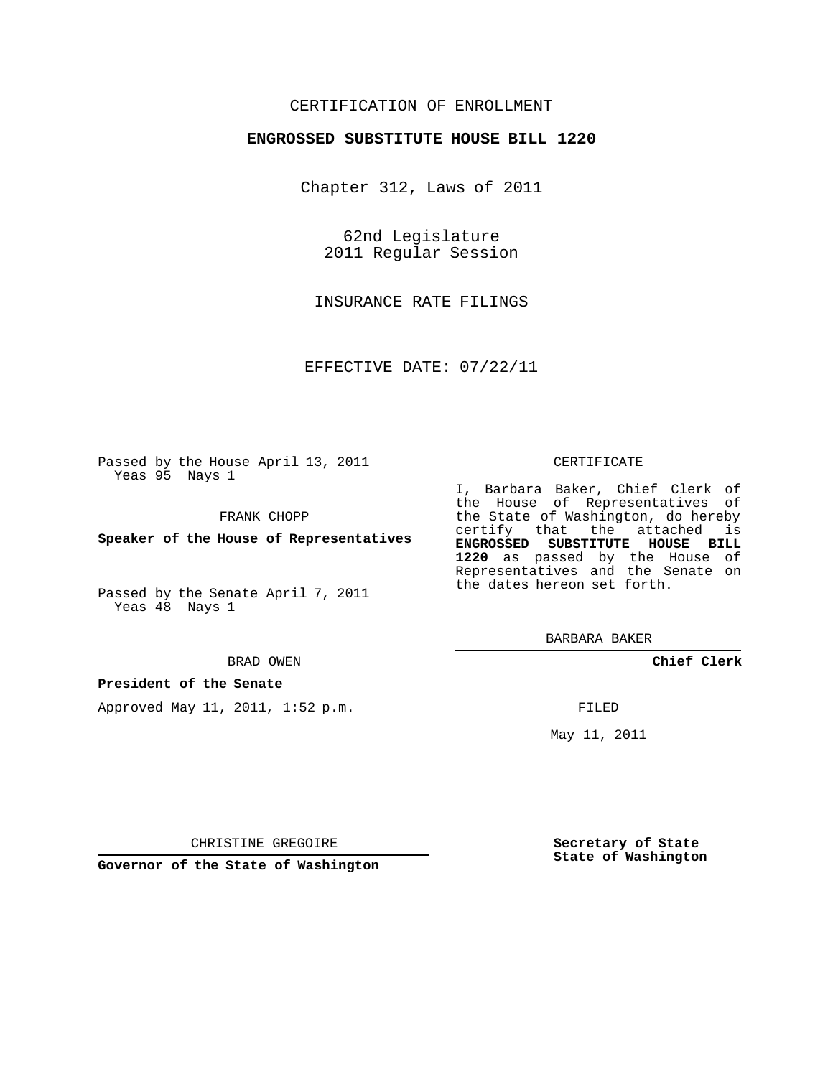# CERTIFICATION OF ENROLLMENT

## **ENGROSSED SUBSTITUTE HOUSE BILL 1220**

Chapter 312, Laws of 2011

62nd Legislature 2011 Regular Session

INSURANCE RATE FILINGS

EFFECTIVE DATE: 07/22/11

Passed by the House April 13, 2011 Yeas 95 Nays 1

FRANK CHOPP

**Speaker of the House of Representatives**

Passed by the Senate April 7, 2011 Yeas 48 Nays 1

#### BRAD OWEN

### **President of the Senate**

Approved May 11, 2011, 1:52 p.m.

#### CERTIFICATE

I, Barbara Baker, Chief Clerk of the House of Representatives of the State of Washington, do hereby certify that the attached is **ENGROSSED SUBSTITUTE HOUSE BILL 1220** as passed by the House of Representatives and the Senate on the dates hereon set forth.

BARBARA BAKER

**Chief Clerk**

FILED

May 11, 2011

**Secretary of State State of Washington**

CHRISTINE GREGOIRE

**Governor of the State of Washington**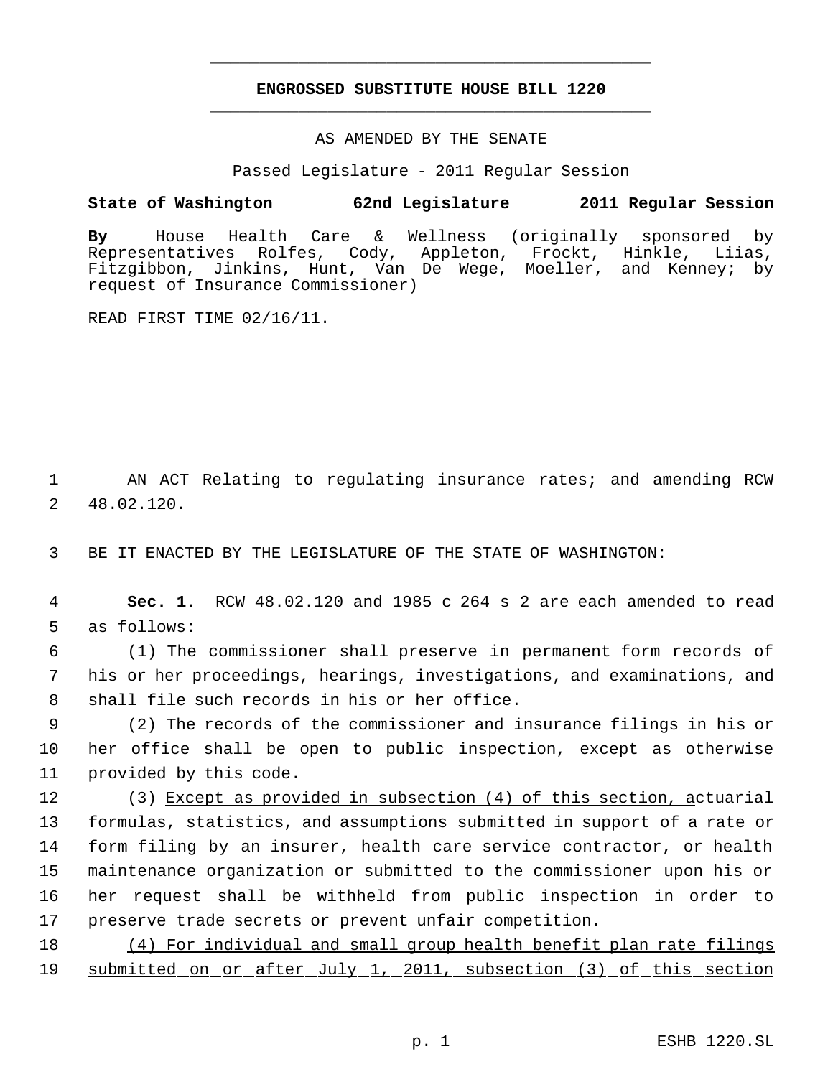# **ENGROSSED SUBSTITUTE HOUSE BILL 1220** \_\_\_\_\_\_\_\_\_\_\_\_\_\_\_\_\_\_\_\_\_\_\_\_\_\_\_\_\_\_\_\_\_\_\_\_\_\_\_\_\_\_\_\_\_

\_\_\_\_\_\_\_\_\_\_\_\_\_\_\_\_\_\_\_\_\_\_\_\_\_\_\_\_\_\_\_\_\_\_\_\_\_\_\_\_\_\_\_\_\_

## AS AMENDED BY THE SENATE

Passed Legislature - 2011 Regular Session

# **State of Washington 62nd Legislature 2011 Regular Session**

**By** House Health Care & Wellness (originally sponsored by Representatives Rolfes, Cody, Appleton, Frockt, Hinkle, Liias, Fitzgibbon, Jinkins, Hunt, Van De Wege, Moeller, and Kenney; by request of Insurance Commissioner)

READ FIRST TIME 02/16/11.

 1 AN ACT Relating to regulating insurance rates; and amending RCW 2 48.02.120.

3 BE IT ENACTED BY THE LEGISLATURE OF THE STATE OF WASHINGTON:

 4 **Sec. 1.** RCW 48.02.120 and 1985 c 264 s 2 are each amended to read 5 as follows:

 6 (1) The commissioner shall preserve in permanent form records of 7 his or her proceedings, hearings, investigations, and examinations, and 8 shall file such records in his or her office.

 9 (2) The records of the commissioner and insurance filings in his or 10 her office shall be open to public inspection, except as otherwise 11 provided by this code.

 (3) Except as provided in subsection (4) of this section, actuarial formulas, statistics, and assumptions submitted in support of a rate or form filing by an insurer, health care service contractor, or health maintenance organization or submitted to the commissioner upon his or her request shall be withheld from public inspection in order to preserve trade secrets or prevent unfair competition.

18 (4) For individual and small group health benefit plan rate filings 19 submitted on or after July 1, 2011, subsection (3) of this section